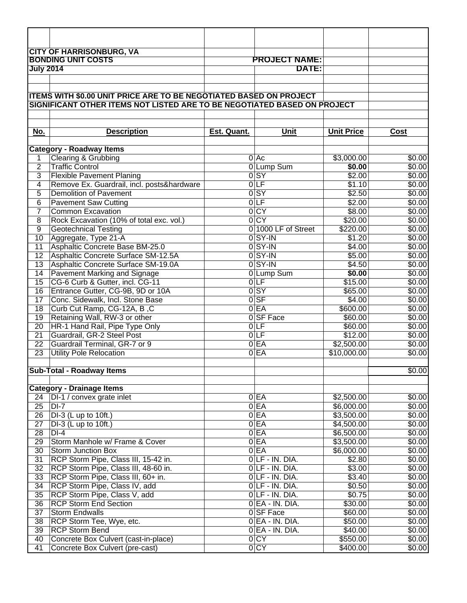|                           | <b>CITY OF HARRISONBURG, VA</b>                                          |             |                                      |                       |                  |
|---------------------------|--------------------------------------------------------------------------|-------------|--------------------------------------|-----------------------|------------------|
| <b>BONDING UNIT COSTS</b> |                                                                          |             | <b>PROJECT NAME:</b>                 |                       |                  |
| <b>July 2014</b>          |                                                                          |             | DATE:                                |                       |                  |
|                           |                                                                          |             |                                      |                       |                  |
|                           |                                                                          |             |                                      |                       |                  |
|                           | ITEMS WITH \$0.00 UNIT PRICE ARE TO BE NEGOTIATED BASED ON PROJECT       |             |                                      |                       |                  |
|                           | SIGNIFICANT OTHER ITEMS NOT LISTED ARE TO BE NEGOTIATED BASED ON PROJECT |             |                                      |                       |                  |
|                           |                                                                          |             |                                      |                       |                  |
| No.                       | <b>Description</b>                                                       | Est. Quant. | Unit                                 | <b>Unit Price</b>     | <b>Cost</b>      |
|                           |                                                                          |             |                                      |                       |                  |
|                           | <b>Category - Roadway Items</b>                                          |             |                                      |                       |                  |
| 1                         | Clearing & Grubbing                                                      |             | $0$ Ac                               | \$3,000.00            | \$0.00           |
| $\overline{2}$            | <b>Traffic Control</b>                                                   |             | 0 Lump Sum                           | \$0.00                | $\sqrt{$0.00}$   |
| 3                         | <b>Flexible Pavement Planing</b>                                         |             | $0$ SY                               | \$2.00                | \$0.00           |
| 4                         | Remove Ex. Guardrail, incl. posts&hardware                               |             | $0$ LF                               | \$1.10                | \$0.00           |
| 5                         | <b>Demolition of Pavement</b>                                            |             | $0$ SY                               | \$2.50                | $\sqrt{$0.00}$   |
| 6                         | <b>Pavement Saw Cutting</b>                                              |             | 0 <sub>LF</sub>                      | \$2.00                | \$0.00           |
| $\overline{7}$            | <b>Common Excavation</b>                                                 |             | 0 <sub>CY</sub>                      | \$8.00                | \$0.00           |
| $\overline{8}$            | Rock Excavation (10% of total exc. vol.)                                 |             | 0 <sub>CY</sub>                      | \$20.00               | \$0.00           |
| $\overline{9}$            | <b>Geotechnical Testing</b>                                              |             | 0 1000 LF of Street                  | \$220.00              | \$0.00           |
| 10                        | Aggregate, Type 21-A                                                     |             | $0$ SY-IN                            | \$1.20                | \$0.00           |
| $\overline{11}$           | Asphaltic Concrete Base BM-25.0                                          |             | $0$ SY-IN                            | \$4.00                | \$0.00           |
| 12                        | Asphaltic Concrete Surface SM-12.5A                                      |             | $0$ SY-IN                            | \$5.00                | \$0.00           |
| 13                        | Asphaltic Concrete Surface SM-19.0A                                      |             | $0$ SY-IN                            | \$4.50                | \$0.00           |
| $\overline{14}$<br>15     | Pavement Marking and Signage                                             |             | 0Lump Sum<br>0 F                     | \$0.00<br>\$15.00     | \$0.00<br>\$0.00 |
| 16                        | CG-6 Curb & Gutter, incl. CG-11<br>Entrance Gutter, CG-9B, 9D or 10A     |             | $0$ SY                               | \$65.00               | \$0.00           |
| $\overline{17}$           | Conc. Sidewalk, Incl. Stone Base                                         |             | $0$ SF                               | \$4.00                | \$0.00           |
| $\overline{18}$           | Curb Cut Ramp, CG-12A, B, C                                              |             | $0E$ A                               | \$600.00              | \$0.00           |
| $\overline{19}$           | Retaining Wall, RW-3 or other                                            |             | 0 SF Face                            | \$60.00               | \$0.00           |
| $\overline{20}$           | HR-1 Hand Rail, Pipe Type Only                                           |             | 0 F                                  | \$60.00               | $\sqrt{$0.00}$   |
| $\overline{21}$           | Guardrail, GR-2 Steel Post                                               |             | $0$ LF                               | \$12.00               | \$0.00           |
| $\overline{22}$           | Guardrail Terminal, GR-7 or 9                                            |             | 0EA                                  | \$2,500.00            | \$0.00           |
| $\overline{23}$           | <b>Utility Pole Relocation</b>                                           |             | $0E$ A                               | \$10,000.00           | \$0.00           |
|                           |                                                                          |             |                                      |                       |                  |
|                           | <b>Sub-Total - Roadway Items</b>                                         |             |                                      |                       | \$0.00           |
|                           |                                                                          |             |                                      |                       |                  |
|                           | <b>Category - Drainage Items</b>                                         |             |                                      |                       |                  |
| 24                        | DI-1 / convex grate inlet                                                |             | 0E                                   | \$2,500.00            | \$0.00           |
| $\overline{25}$           | $DI-7$                                                                   |             | 0 EA                                 | \$6,000.00            | \$0.00           |
| 26                        | DI-3 (L up to 10ft.)                                                     |             | 0 EA                                 | \$3,500.00            | \$0.00           |
| 27                        | $\overline{DI-3}$ (L up to 10ft.)                                        |             | $0E$ A                               | \$4,500.00            | \$0.00           |
| $\overline{28}$           | $DI-4$                                                                   |             | 0E                                   | \$6,500.00            | \$0.00           |
| $\overline{29}$           | Storm Manhole w/ Frame & Cover                                           |             | $0E$ A                               | \$3,500.00            | \$0.00           |
| 30                        | <b>Storm Junction Box</b>                                                |             | 0E                                   | \$6,000.00            | \$0.00           |
| 31                        | RCP Storm Pipe, Class III, 15-42 in.                                     |             | $0$ LF - IN. DIA.                    | \$2.80                | \$0.00           |
| 32                        | RCP Storm Pipe, Class III, 48-60 in.                                     |             | $0$ LF - IN. DIA.                    | \$3.00                | \$0.00           |
| $\overline{33}$           | RCP Storm Pipe, Class III, 60+ in.                                       |             | $0$ LF - IN. DIA.                    | \$3.40                | \$0.00           |
| $\overline{34}$           | RCP Storm Pipe, Class IV, add                                            |             | $0 LF - IN. DIA.$                    | \$0.50                | \$0.00           |
| 35                        | RCP Storm Pipe, Class V, add                                             |             | $0$ LF - IN. DIA.                    | \$0.75                | \$0.00           |
| 36                        | <b>RCP Storm End Section</b>                                             |             | $0 EA - IN. DIA.$                    | \$30.00               | \$0.00           |
| $\overline{37}$           | <b>Storm Endwalls</b>                                                    |             | 0 SF Face                            | \$60.00               | \$0.00           |
| 38                        | RCP Storm Tee, Wye, etc.                                                 |             | $0 EA - IN. DIA.$                    | \$50.00               | \$0.00           |
| 39<br>40                  | <b>RCP Storm Bend</b>                                                    |             | $0 EA - IN. DIA.$<br>0 <sub>CY</sub> | \$40.00               | \$0.00<br>\$0.00 |
| 41                        | Concrete Box Culvert (cast-in-place)<br>Concrete Box Culvert (pre-cast)  |             | 0 CY                                 | \$550.00<br>\$400.00] |                  |
|                           |                                                                          |             |                                      |                       | \$0.00           |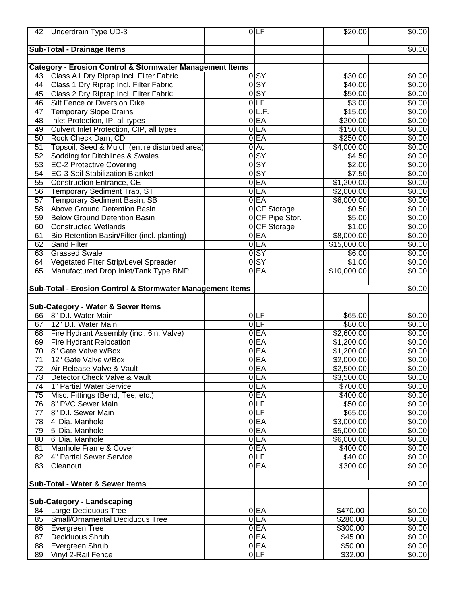| 43<br>44<br>45<br>46<br>47<br>48<br>49<br>50  | <b>Sub-Total - Drainage Items</b><br><b>Category - Erosion Control &amp; Stormwater Management Items</b><br>Class A1 Dry Riprap Incl. Filter Fabric<br>Class 1 Dry Riprap Incl. Filter Fabric |   |                                                            |                 |                                                                          | \$0.00             |
|-----------------------------------------------|-----------------------------------------------------------------------------------------------------------------------------------------------------------------------------------------------|---|------------------------------------------------------------|-----------------|--------------------------------------------------------------------------|--------------------|
|                                               |                                                                                                                                                                                               |   |                                                            |                 |                                                                          |                    |
|                                               |                                                                                                                                                                                               |   |                                                            |                 |                                                                          |                    |
|                                               |                                                                                                                                                                                               |   |                                                            |                 |                                                                          |                    |
|                                               |                                                                                                                                                                                               |   |                                                            |                 |                                                                          |                    |
|                                               |                                                                                                                                                                                               |   | $\overline{0}$ SY                                          |                 | \$30.00                                                                  | $\overline{$0.00}$ |
|                                               |                                                                                                                                                                                               |   | $\overline{0}$ SY                                          |                 | $\sqrt{$40.00}$                                                          | \$0.00             |
|                                               | Class 2 Dry Riprap Incl. Filter Fabric                                                                                                                                                        |   | $\overline{0}$ SY                                          |                 | \$50.00                                                                  | \$0.00             |
|                                               | Silt Fence or Diversion Dike                                                                                                                                                                  |   | $0$ LF                                                     |                 | \$3.00                                                                   | \$0.00             |
|                                               | <b>Temporary Slope Drains</b>                                                                                                                                                                 | 0 | L.F.                                                       |                 | \$15.00                                                                  | \$0.00             |
|                                               | Inlet Protection, IP, all types                                                                                                                                                               | 0 | EA                                                         |                 | \$200.00                                                                 | \$0.00             |
|                                               | Culvert Inlet Protection, CIP, all types                                                                                                                                                      | 0 | EA                                                         |                 | \$150.00                                                                 | \$0.00             |
|                                               | Rock Check Dam, CD                                                                                                                                                                            | 0 | EA                                                         |                 | \$250.00                                                                 | $\sqrt{$0.00}$     |
| $\overline{51}$                               | Topsoil, Seed & Mulch (entire disturbed area)                                                                                                                                                 | 0 | Ac                                                         |                 | \$4,000.00                                                               | \$0.00             |
| 52                                            | Sodding for Ditchlines & Swales                                                                                                                                                               | 0 | <b>SY</b>                                                  |                 | \$4.50                                                                   | \$0.00             |
| 53                                            | <b>EC-2 Protective Covering</b>                                                                                                                                                               |   | $0$ SY                                                     |                 | \$2.00                                                                   | \$0.00             |
| 54                                            | <b>EC-3 Soil Stabilization Blanket</b>                                                                                                                                                        |   | $0$ SY                                                     |                 | \$7.50                                                                   | \$0.00             |
| 55                                            | <b>Construction Entrance, CE</b>                                                                                                                                                              |   | $0E$ A                                                     |                 | \$1,200.00                                                               | \$0.00             |
| 56                                            | <b>Temporary Sediment Trap, ST</b>                                                                                                                                                            |   | $0E$ A                                                     |                 | \$2,000.00                                                               | \$0.00             |
| 57                                            | <b>Temporary Sediment Basin, SB</b>                                                                                                                                                           |   | $0E$ A                                                     |                 | \$6,000.00                                                               | \$0.00             |
| 58                                            | <b>Above Ground Detention Basin</b>                                                                                                                                                           |   |                                                            | 0 CF Storage    | \$0.50                                                                   | \$0.00             |
| 59                                            | <b>Below Ground Detention Basin</b>                                                                                                                                                           |   |                                                            | 0 CF Pipe Stor. | \$5.00                                                                   | \$0.00             |
| 60                                            | <b>Constructed Wetlands</b>                                                                                                                                                                   |   |                                                            | 0 CF Storage    | $\sqrt{$1.00}$                                                           |                    |
|                                               |                                                                                                                                                                                               |   |                                                            |                 |                                                                          | \$0.00             |
| 61                                            | Bio-Retention Basin/Filter (incl. planting)                                                                                                                                                   |   | 0E<br>$0E$ A                                               |                 | \$8,000.00                                                               | \$0.00             |
| 62                                            | <b>Sand Filter</b>                                                                                                                                                                            |   |                                                            |                 | \$15,000.00                                                              | \$0.00             |
| 63                                            | <b>Grassed Swale</b>                                                                                                                                                                          |   | $\overline{0}$ SY                                          |                 | \$6.00                                                                   | $\sqrt{$0.00}$     |
| 64                                            | Vegetated Filter Strip/Level Spreader                                                                                                                                                         |   | $\overline{0}$ SY                                          |                 | \$1.00                                                                   | \$0.00             |
| 65                                            | Manufactured Drop Inlet/Tank Type BMP                                                                                                                                                         |   | $0E$ A                                                     |                 | \$10,000.00                                                              | \$0.00             |
|                                               |                                                                                                                                                                                               |   |                                                            |                 |                                                                          |                    |
|                                               | Sub-Total - Erosion Control & Stormwater Management Items                                                                                                                                     |   |                                                            |                 |                                                                          | \$0.00             |
|                                               |                                                                                                                                                                                               |   |                                                            |                 |                                                                          |                    |
|                                               | Sub-Category - Water & Sewer Items                                                                                                                                                            |   |                                                            |                 |                                                                          |                    |
| 66                                            | 8" D.I. Water Main                                                                                                                                                                            |   | 0 LF                                                       |                 | \$65.00                                                                  | $\sqrt{$0.00}$     |
| 67                                            | 12" D.I. Water Main                                                                                                                                                                           |   | 0 <sub>LF</sub>                                            |                 | \$80.00                                                                  | $\sqrt{$0.00}$     |
| 68                                            | Fire Hydrant Assembly (incl. 6in. Valve)                                                                                                                                                      | 0 | EA                                                         |                 | \$2,600.00                                                               | \$0.00             |
| 69                                            | <b>Fire Hydrant Relocation</b>                                                                                                                                                                | 0 | EA                                                         |                 | \$1,200.00                                                               | \$0.00             |
| 70                                            | 8" Gate Valve w/Box                                                                                                                                                                           |   | $0E$ A                                                     |                 | \$1,200.00                                                               | \$0.00             |
| $\overline{71}$                               | 12" Gate Valve w/Box                                                                                                                                                                          |   | $0E$ A                                                     |                 | \$2,000.00                                                               | $\sqrt{$0.00}$     |
| 72                                            | Air Release Valve & Vault                                                                                                                                                                     |   | $0E$ A                                                     |                 | \$2,500.00                                                               | \$0.00             |
| 73                                            | Detector Check Valve & Vault                                                                                                                                                                  |   | 0EA                                                        |                 | \$3,500.00                                                               | \$0.00             |
| $\overline{74}$                               | 1" Partial Water Service                                                                                                                                                                      |   | 0E                                                         |                 | \$700.00                                                                 | \$0.00             |
|                                               |                                                                                                                                                                                               |   |                                                            |                 |                                                                          | \$0.00             |
|                                               |                                                                                                                                                                                               |   |                                                            |                 |                                                                          | \$0.00             |
|                                               |                                                                                                                                                                                               |   |                                                            |                 |                                                                          | \$0.00             |
|                                               |                                                                                                                                                                                               |   |                                                            |                 |                                                                          | \$0.00             |
|                                               |                                                                                                                                                                                               |   |                                                            |                 |                                                                          | \$0.00             |
|                                               |                                                                                                                                                                                               |   |                                                            |                 |                                                                          | \$0.00             |
| 81                                            | Manhole Frame & Cover                                                                                                                                                                         |   | $0E$ A                                                     |                 | \$400.00                                                                 | \$0.00             |
| 82                                            | 4" Partial Sewer Service                                                                                                                                                                      |   | $0$ LF                                                     |                 | \$40.00                                                                  | \$0.00             |
| 83                                            | Cleanout                                                                                                                                                                                      |   | $0E$ A                                                     |                 | \$300.00                                                                 | \$0.00             |
|                                               |                                                                                                                                                                                               |   |                                                            |                 |                                                                          |                    |
|                                               | Sub-Total - Water & Sewer Items                                                                                                                                                               |   |                                                            |                 |                                                                          | \$0.00             |
|                                               |                                                                                                                                                                                               |   |                                                            |                 |                                                                          |                    |
|                                               | <b>Sub-Category - Landscaping</b>                                                                                                                                                             |   |                                                            |                 |                                                                          |                    |
| 84                                            | Large Deciduous Tree                                                                                                                                                                          |   | 0EA                                                        |                 | \$470.00                                                                 | $\sqrt{$0.00}$     |
| 85                                            | Small/Ornamental Deciduous Tree                                                                                                                                                               |   | $0E$ A                                                     |                 | \$280.00                                                                 | \$0.00             |
| 86                                            | Evergreen Tree                                                                                                                                                                                |   | $0E$ A                                                     |                 | \$300.00                                                                 | \$0.00             |
| 87                                            | Deciduous Shrub                                                                                                                                                                               |   | $0E$ A                                                     |                 | \$45.00                                                                  | $\overline{$}0.00$ |
| 88                                            | Evergreen Shrub                                                                                                                                                                               |   | $0E$ A                                                     |                 | \$50.00                                                                  | $\sqrt{$0.00}$     |
| 89                                            | Vinyl 2-Rail Fence                                                                                                                                                                            |   | $0 \Gamma$                                                 |                 | \$32.00                                                                  | \$0.00             |
| 75<br>76<br>$\overline{77}$<br>78<br>79<br>80 | Misc. Fittings (Bend, Tee, etc.)<br>8" PVC Sewer Main<br>8" D.I. Sewer Main<br>4' Dia. Manhole<br>5' Dia. Manhole<br>6' Dia. Manhole                                                          |   | $0E$ A<br>$0 \Gamma$<br>0 LF<br>$0E$ A<br>$0E$ A<br>$0E$ A |                 | \$400.00<br>\$50.00<br>\$65.00<br>\$3,000.00<br>\$5,000.00<br>\$6,000.00 |                    |